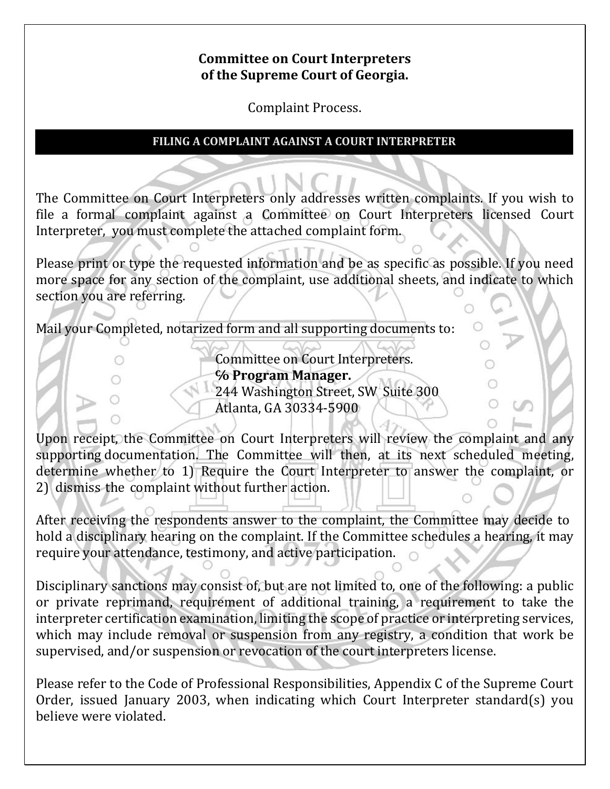### **Committee on Court Interpreters of the Supreme Court of Georgia.**

Complaint Process.

### **FILING A COMPLAINT AGAINST A COURT INTERPRETER**

The Committee on Court Interpreters only addresses written complaints. If you wish to file a formal complaint against a Committee on Court Interpreters licensed Court Interpreter, you must complete the attached complaint form.

Please print or type the requested information and be as specific as possible. If you need more space for any section of the complaint, use additional sheets, and indicate to which section you are referring.

Mail your Completed, notarized form and all supporting documents to:

Committee on Court Interpreters. **℅ Program Manager. 244 Washington Street, SW Suite 300** Atlanta, GA 30334-5900

Upon receipt, the Committee on Court Interpreters will review the complaint and any supporting documentation. The Committee will then, at its next scheduled meeting, determine whether to 1) Require the Court Interpreter to answer the complaint, or 2) dismiss the complaint without further action.

After receiving the respondents answer to the complaint, the Committee may decide to hold a disciplinary hearing on the complaint. If the Committee schedules a hearing, it may require your attendance, testimony, and active participation.

Disciplinary sanctions may consist of, but are not limited to, one of the following: a public or private reprimand, requirement of additional training, a requirement to take the interpreter certification examination, limiting the scope of practice or interpreting services, which may include removal or suspension from any registry, a condition that work be supervised, and/or suspension or revocation of the court interpreters license.

Please refer to the Code of Professional Responsibilities, Appendix C of the Supreme Court Order, issued January 2003, when indicating which Court Interpreter standard(s) you believe were violated.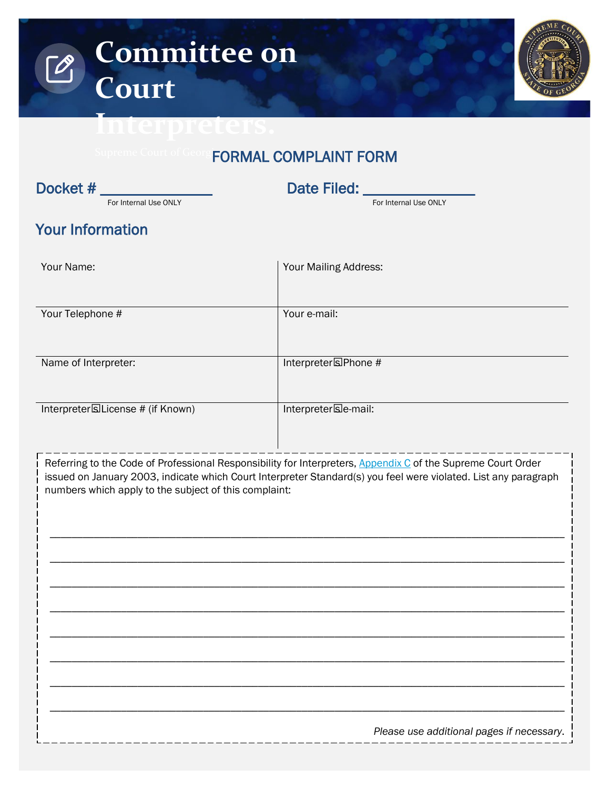

## FORMAL COMPLAINT FORM

| Docket #                                              | Date Filed: ________                                                                                                                                                                                                            |  |  |
|-------------------------------------------------------|---------------------------------------------------------------------------------------------------------------------------------------------------------------------------------------------------------------------------------|--|--|
| For Internal Use ONLY                                 | For Internal Use ONLY                                                                                                                                                                                                           |  |  |
| <b>Your Information</b>                               |                                                                                                                                                                                                                                 |  |  |
| Your Name:                                            | Your Mailing Address:                                                                                                                                                                                                           |  |  |
| Your Telephone #                                      | Your e-mail:                                                                                                                                                                                                                    |  |  |
| Name of Interpreter:                                  | Interpreter's Phone #                                                                                                                                                                                                           |  |  |
| Interpreter's License # (if Known)                    | Interpreter's e-mail:                                                                                                                                                                                                           |  |  |
| numbers which apply to the subject of this complaint: | Referring to the Code of Professional Responsibility for Interpreters, Appendix C of the Supreme Court Order<br>issued on January 2003, indicate which Court Interpreter Standard(s) you feel were violated. List any paragraph |  |  |
|                                                       |                                                                                                                                                                                                                                 |  |  |
|                                                       | Please use additional pages if necessary.                                                                                                                                                                                       |  |  |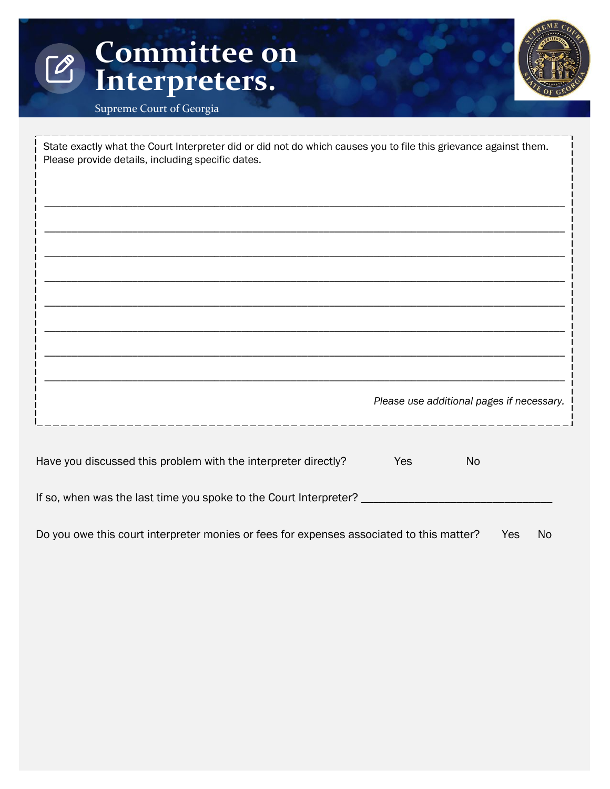# **Committee on**   $\sqrt{2}$ **Interpreters.**



Supreme Court of Georgia

| State exactly what the Court Interpreter did or did not do which causes you to file this grievance against them.<br>Please provide details, including specific dates. |     |                                           |  |  |
|-----------------------------------------------------------------------------------------------------------------------------------------------------------------------|-----|-------------------------------------------|--|--|
|                                                                                                                                                                       |     |                                           |  |  |
|                                                                                                                                                                       |     |                                           |  |  |
|                                                                                                                                                                       |     |                                           |  |  |
|                                                                                                                                                                       |     |                                           |  |  |
|                                                                                                                                                                       |     |                                           |  |  |
|                                                                                                                                                                       |     | Please use additional pages if necessary. |  |  |
| Have you discussed this problem with the interpreter directly?                                                                                                        | Yes | <b>No</b>                                 |  |  |
| If so, when was the last time you spoke to the Court Interpreter?                                                                                                     |     |                                           |  |  |

Do you owe this court interpreter monies or fees for expenses associated to this matter? Yes No